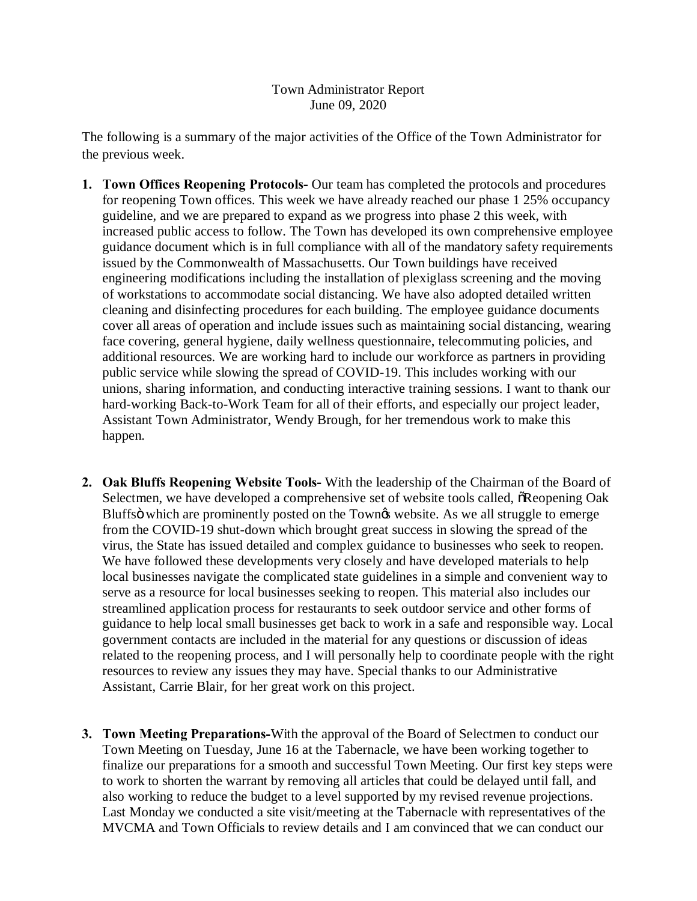## Town Administrator Report June 09, 2020

The following is a summary of the major activities of the Office of the Town Administrator for the previous week.

- **1. Town Offices Reopening Protocols-** Our team has completed the protocols and procedures for reopening Town offices. This week we have already reached our phase 1 25% occupancy guideline, and we are prepared to expand as we progress into phase 2 this week, with increased public access to follow. The Town has developed its own comprehensive employee guidance document which is in full compliance with all of the mandatory safety requirements issued by the Commonwealth of Massachusetts. Our Town buildings have received engineering modifications including the installation of plexiglass screening and the moving of workstations to accommodate social distancing. We have also adopted detailed written cleaning and disinfecting procedures for each building. The employee guidance documents cover all areas of operation and include issues such as maintaining social distancing, wearing face covering, general hygiene, daily wellness questionnaire, telecommuting policies, and additional resources. We are working hard to include our workforce as partners in providing public service while slowing the spread of COVID-19. This includes working with our unions, sharing information, and conducting interactive training sessions. I want to thank our hard-working Back-to-Work Team for all of their efforts, and especially our project leader, Assistant Town Administrator, Wendy Brough, for her tremendous work to make this happen.
- **2. Oak Bluffs Reopening Website Tools-** With the leadership of the Chairman of the Board of Selectmen, we have developed a comprehensive set of website tools called,  $\delta$ Reopening Oak Bluffs i which are prominently posted on the Town & website. As we all struggle to emerge from the COVID-19 shut-down which brought great success in slowing the spread of the virus, the State has issued detailed and complex guidance to businesses who seek to reopen. We have followed these developments very closely and have developed materials to help local businesses navigate the complicated state guidelines in a simple and convenient way to serve as a resource for local businesses seeking to reopen. This material also includes our streamlined application process for restaurants to seek outdoor service and other forms of guidance to help local small businesses get back to work in a safe and responsible way. Local government contacts are included in the material for any questions or discussion of ideas related to the reopening process, and I will personally help to coordinate people with the right resources to review any issues they may have. Special thanks to our Administrative Assistant, Carrie Blair, for her great work on this project.
- **3. Town Meeting Preparations-**With the approval of the Board of Selectmen to conduct our Town Meeting on Tuesday, June 16 at the Tabernacle, we have been working together to finalize our preparations for a smooth and successful Town Meeting. Our first key steps were to work to shorten the warrant by removing all articles that could be delayed until fall, and also working to reduce the budget to a level supported by my revised revenue projections. Last Monday we conducted a site visit/meeting at the Tabernacle with representatives of the MVCMA and Town Officials to review details and I am convinced that we can conduct our